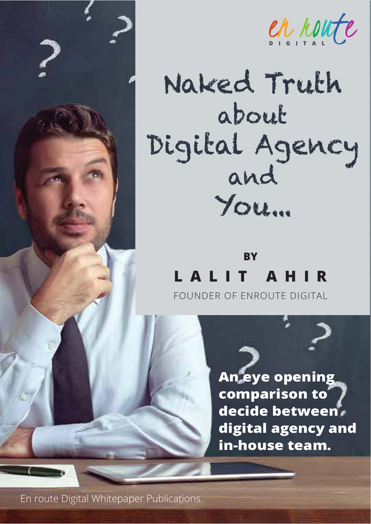

en noute

# Naked Truth about Digital Agency and You...

# **BY LALIT AHIR**

FOUNDER OF ENROUTE DIGITAL

**An eye opening comparison to decide between digital agency and in-house team.**

En route Digital Whitepaper Publications.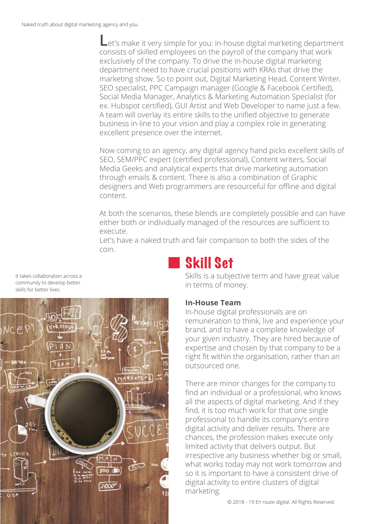Let's make it very simple for you: in-house digital marketing department consists of skilled employees on the payroll of the company that work exclusively of the company. To drive the in-house digital marketing department need to have crucial positions with KRAs that drive the marketing show. So to point out, Digital Marketing Head, Content Writer, SEO specialist, PPC Campaign manager (Google & Facebook Certified), Social Media Manager, Analytics & Marketing Automation Specialist (for ex. Hubspot certified), GUI Artist and Web Developer to name just a few. A team will overlay its entire skills to the unified objective to generate business in-line to your vision and play a complex role in generating excellent presence over the internet.

Now coming to an agency, any digital agency hand picks excellent skills of SEO, SEM/PPC expert (certified professional), Content writers, Social Media Geeks and analytical experts that drive marketing automation through emails & content. There is also a combination of Graphic designers and Web programmers are resourceful for offline and digital content.

At both the scenarios, these blends are completely possible and can have either both or individually managed of the resources are sufficient to execute.

Let's have a naked truth and fair comparison to both the sides of the coin.

# Skill Set

Skills is a subjective term and have great value in terms of money.

### **In-House Team**

In-house digital professionals are on remuneration to think, live and experience your brand, and to have a complete knowledge of your given industry. They are hired because of expertise and chosen by that company to be a right fit within the organisation, rather than an outsourced one.

There are minor changes for the company to find an individual or a professional, who knows all the aspects of digital marketing. And if they find, it is too much work for that one single professional to handle its company's entire digital activity and deliver results. There are chances, the profession makes execute only limited activity that delivers output. But irrespective any business whether big or small, what works today may not work tomorrow and so it is important to have a consistent drive of digital activity to entire clusters of digital marketing.

It takes collaboration across a community to develop better skills for better lives.

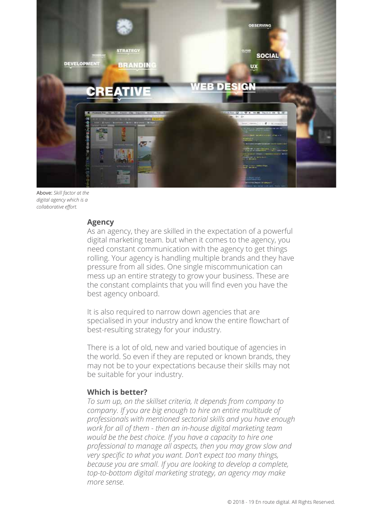

Above: *Skill factor at the digital agency which is a collaborative effort.*

#### **Agency**

As an agency, they are skilled in the expectation of a powerful digital marketing team. but when it comes to the agency, you need constant communication with the agency to get things rolling. Your agency is handling multiple brands and they have pressure from all sides. One single miscommunication can mess up an entire strategy to grow your business. These are the constant complaints that you will find even you have the best agency onboard.

It is also required to narrow down agencies that are specialised in your industry and know the entire flowchart of best-resulting strategy for your industry.

There is a lot of old, new and varied boutique of agencies in the world. So even if they are reputed or known brands, they may not be to your expectations because their skills may not be suitable for your industry.

#### **Which is better?**

*To sum up, on the skillset criteria, It depends from company to company. If you are big enough to hire an entire multitude of professionals with mentioned sectorial skills and you have enough work for all of them - then an in-house digital marketing team would be the best choice. If you have a capacity to hire one professional to manage all aspects, then you may grow slow and very specific to what you want. Don't expect too many things, because you are small. If you are looking to develop a complete, top-to-bottom digital marketing strategy, an agency may make more sense.*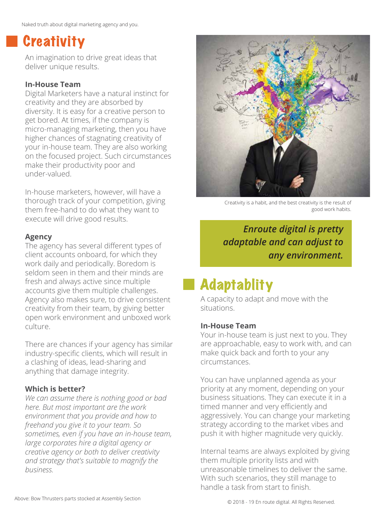# **Creativity**

An imagination to drive great ideas that deliver unique results.

# **In-House Team**

Digital Marketers have a natural instinct for creativity and they are absorbed by diversity. It is easy for a creative person to get bored. At times, if the company is micro-managing marketing, then you have higher chances of stagnating creativity of your in-house team. They are also working on the focused project. Such circumstances make their productivity poor and under-valued.

In-house marketers, however, will have a thorough track of your competition, giving them free-hand to do what they want to execute will drive good results.

# **Agency**

The agency has several different types of client accounts onboard, for which they work daily and periodically. Boredom is seldom seen in them and their minds are fresh and always active since multiple accounts give them multiple challenges. Agency also makes sure, to drive consistent creativity from their team, by giving better open work environment and unboxed work culture.

There are chances if your agency has similar industry-specific clients, which will result in a clashing of ideas, lead-sharing and anything that damage integrity.

# **Which is better?**

*We can assume there is nothing good or bad here. But most important are the work environment that you provide and how to freehand you give it to your team. So sometimes, even if you have an in-house team, large corporates hire a digital agency or creative agency or both to deliver creativity and strategy that's suitable to magnify the business.*



Creativity is a habit, and the best creativity is the result of good work habits.

# *Enroute digital is pretty adaptable and can adjust to any environment.*

# **Adaptablity**

A capacity to adapt and move with the situations.

# **In-House Team**

Your in-house team is just next to you. They are approachable, easy to work with, and can make quick back and forth to your any circumstances.

You can have unplanned agenda as your priority at any moment, depending on your business situations. They can execute it in a timed manner and very efficiently and aggressively. You can change your marketing strategy according to the market vibes and push it with higher magnitude very quickly.

Internal teams are always exploited by giving them multiple priority lists and with unreasonable timelines to deliver the same. With such scenarios, they still manage to handle a task from start to finish.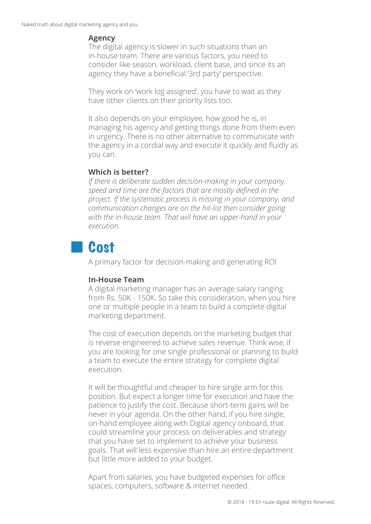#### **Agency**

The digital agency is slower in such situations than an in-house team. There are various factors, you need to consider like season, workload, client base, and since its an agency they have a beneficial '3rd party' perspective.

They work on 'work log assigned', you have to wait as they have other clients on their priority lists too.

It also depends on your employee, how good he is, in managing his agency and getting things done from them even in urgency. There is no other alternative to communicate with the agency in a cordial way and execute it quickly and fluidly as you can.

# **Which is better?**

*If there is deliberate sudden decision-making in your company, speed and time are the factors that are mostly defined in the project. If the systematic process is missing in your company, and communication changes are on the hit-list then consider going with the in-house team. That will have an upper-hand in your execution.*

# **Cost**

A primary factor for decision-making and generating ROI

# **In-House Team**

A digital marketing manager has an average salary ranging from Rs. 50K - 150K. So take this consideration, when you hire one or multiple people in a team to build a complete digital marketing department.

The cost of execution depends on the marketing budget that is reverse engineered to achieve sales revenue. Think wise, if you are looking for one single professional or planning to build a team to execute the entire strategy for complete digital execution.

It will be thoughtful and cheaper to hire single arm for this position. But expect a longer time for execution and have the patience to justify the cost. Because short-term gains will be never in your agenda. On the other hand, if you hire single, on-hand employee along with Digital agency onboard, that could streamline your process on deliverables and strategy that you have set to implement to achieve your business goals. That will less expensive than hire an entire department but little more added to your budget.

Apart from salaries, you have budgeted expenses for office spaces, computers, software & internet needed.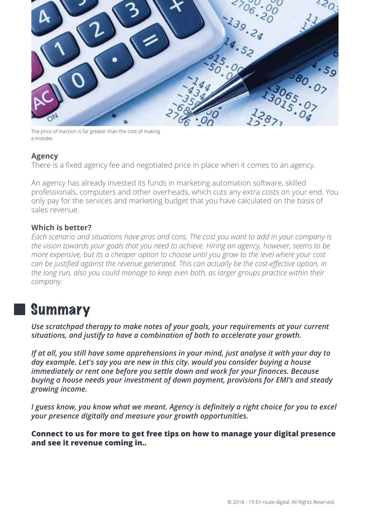

The price of inaction is far greater than the cost of making a mistake.

# **Agency**

There is a fixed agency fee and negotiated price in place when it comes to an agency.

An agency has already invested its funds in marketing automation software, skilled professionals, computers and other overheads, which cuts any extra costs on your end. You only pay for the services and marketing budget that you have calculated on the basis of sales revenue.

### **Which is better?**

*Each scenario and situations have pros and cons. The cost you want to add in your company is the vision towards your goals that you need to achieve. Hiring an agency, however, seems to be more expensive, but its a cheaper option to choose until you grow to the level where your cost can be justified against the revenue generated. This can actually be the cost-effective option, in the long run, also you could manage to keep even both, as larger groups practice within their company.*

# Summary

*Use scratchpad therapy to make notes of your goals, your requirements at your current situations, and justify to have a combination of both to accelerate your growth.*

*If at all, you still have some apprehensions in your mind, just analyse it with your day to day example. Let's say you are new in this city. would you consider buying a house immediately or rent one before you settle down and work for your finances. Because buying a house needs your investment of down payment, provisions for EMI's and steady growing income.*

*I guess know, you know what we meant. Agency is definitely a right choice for you to excel your presence digitally and measure your growth opportunities.*

**Connect to us for more to get free tips on how to manage your digital presence and see it revenue coming in..**